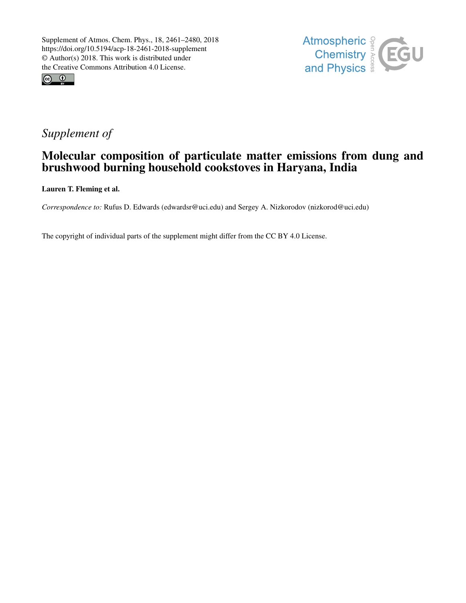



# *Supplement of*

## Molecular composition of particulate matter emissions from dung and brushwood burning household cookstoves in Haryana, India

Lauren T. Fleming et al.

*Correspondence to:* Rufus D. Edwards (edwardsr@uci.edu) and Sergey A. Nizkorodov (nizkorod@uci.edu)

The copyright of individual parts of the supplement might differ from the CC BY 4.0 License.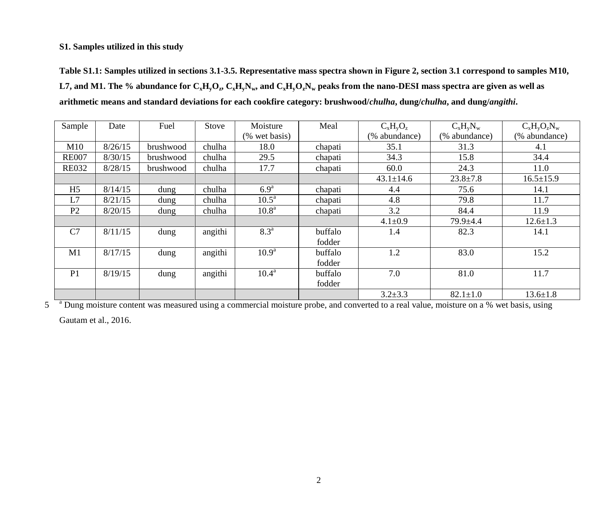#### **S1. Samples utilized in this study**

**Table S1.1: Samples utilized in sections 3.1-3.5. Representative mass spectra shown in Figure 2, section 3.1 correspond to samples M10,**  L7, and M1. The % abundance for  $\rm C_xH_yO_z$ ,  $\rm C_xH_yN_w$ , and  $\rm C_xH_yO_zN_w$  peaks from the nano-DESI mass spectra are given as well as **arithmetic means and standard deviations for each cookfire category: brushwood/***chulha***, dung/***chulha***, and dung/***angithi***.**

| Sample         | Date    | Fuel      | Stove   | Moisture          | Meal    | $C_xH_vO_z$     | $C_xH_vN_w$    | $C_xH_yO_zN_w$  |
|----------------|---------|-----------|---------|-------------------|---------|-----------------|----------------|-----------------|
|                |         |           |         | (% wet basis)     |         | (% abundance)   | (% abundance)  | (% abundance)   |
| M10            | 8/26/15 | brushwood | chulha  | 18.0              | chapati | 35.1            | 31.3           | 4.1             |
| <b>RE007</b>   | 8/30/15 | brushwood | chulha  | 29.5              | chapati | 34.3            | 15.8           | 34.4            |
| <b>RE032</b>   | 8/28/15 | brushwood | chulha  | 17.7              | chapati | 60.0            | 24.3           | 11.0            |
|                |         |           |         |                   |         | $43.1 \pm 14.6$ | $23.8 \pm 7.8$ | $16.5 \pm 15.9$ |
| H <sub>5</sub> | 8/14/15 | dung      | chulha  | 6.9 <sup>a</sup>  | chapati | 4.4             | 75.6           | 14.1            |
| L7             | 8/21/15 | dung      | chulha  | 10.5 <sup>a</sup> | chapati | 4.8             | 79.8           | 11.7            |
| P <sub>2</sub> | 8/20/15 | dung      | chulha  | 10.8 <sup>a</sup> | chapati | 3.2             | 84.4           | 11.9            |
|                |         |           |         |                   |         | $4.1 \pm 0.9$   | $79.9 + 4.4$   | $12.6 \pm 1.3$  |
| C <sub>7</sub> | 8/11/15 | dung      | angithi | 8.3 <sup>a</sup>  | buffalo | 1.4             | 82.3           | 14.1            |
|                |         |           |         |                   | fodder  |                 |                |                 |
| M1             | 8/17/15 | dung      | angithi | 10.9 <sup>a</sup> | buffalo | 1.2             | 83.0           | 15.2            |
|                |         |           |         |                   | fodder  |                 |                |                 |
| P <sub>1</sub> | 8/19/15 | dung      | angithi | $10.4^{\text{a}}$ | buffalo | 7.0             | 81.0           | 11.7            |
|                |         |           |         |                   | fodder  |                 |                |                 |
|                |         |           |         |                   |         | $3.2 + 3.3$     | $82.1 \pm 1.0$ | $13.6 \pm 1.8$  |

 $\frac{3.2\pm3.3}{4}$  Dung moisture content was measured using a commercial moisture probe, and converted to a real value, moisture on a % wet basis, using

Gautam et al., 2016.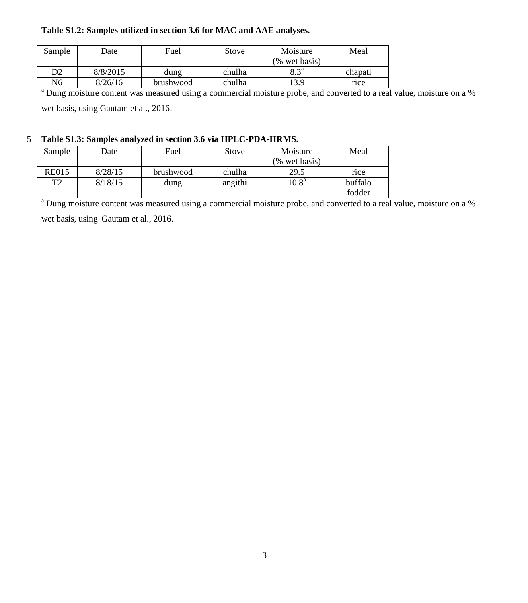#### **Table S1.2: Samples utilized in section 3.6 for MAC and AAE analyses.**

| Sample | Date     | Fuel      | Stove  | Moisture      | Meal    |
|--------|----------|-----------|--------|---------------|---------|
|        |          |           |        | (% wet basis) |         |
| D2     | 8/8/2015 | dung      | chulha | $Q_2$ $2^a$   | chapati |
| N6     | 8/26/16  | brushwood | chulha | 13.9          | rice    |

<sup>a</sup> Dung moisture content was measured using a commercial moisture probe, and converted to a real value, moisture on a % wet basis, using Gautam et al., 2016.

### 5 **Table S1.3: Samples analyzed in section 3.6 via HPLC-PDA-HRMS.**

| Sample         | Date    | Fuel      | Stove   | Moisture         | Meal    |
|----------------|---------|-----------|---------|------------------|---------|
|                |         |           |         | $(\%$ wet basis) |         |
| <b>RE015</b>   | 8/28/15 | brushwood | chulha  | 29.5             | rice    |
| T <sub>2</sub> | 8/18/15 | dung      | angithi | $10.8^{\rm a}$   | buffalo |
|                |         |           |         |                  | fodder  |

<sup>a</sup> Dung moisture content was measured using a commercial moisture probe, and converted to a real value, moisture on a % wet basis, using Gautam et al., 2016.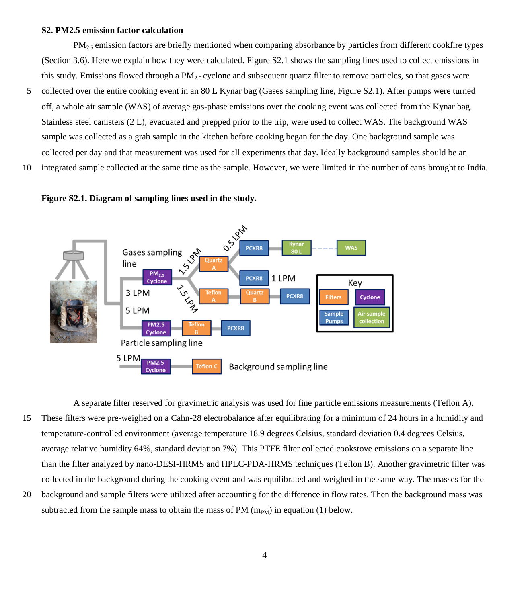#### **S2. PM2.5 emission factor calculation**

 $PM<sub>2.5</sub>$  emission factors are briefly mentioned when comparing absorbance by particles from different cookfire types (Section 3.6). Here we explain how they were calculated. Figure S2.1 shows the sampling lines used to collect emissions in this study. Emissions flowed through a  $PM<sub>2.5</sub>$  cyclone and subsequent quartz filter to remove particles, so that gases were

- 5 collected over the entire cooking event in an 80 L Kynar bag (Gases sampling line, Figure S2.1). After pumps were turned off, a whole air sample (WAS) of average gas-phase emissions over the cooking event was collected from the Kynar bag. Stainless steel canisters (2 L), evacuated and prepped prior to the trip, were used to collect WAS. The background WAS sample was collected as a grab sample in the kitchen before cooking began for the day. One background sample was collected per day and that measurement was used for all experiments that day. Ideally background samples should be an
- 10 integrated sample collected at the same time as the sample. However, we were limited in the number of cans brought to India.





A separate filter reserved for gravimetric analysis was used for fine particle emissions measurements (Teflon A). 15 These filters were pre-weighed on a Cahn-28 electrobalance after equilibrating for a minimum of 24 hours in a humidity and temperature-controlled environment (average temperature 18.9 degrees Celsius, standard deviation 0.4 degrees Celsius, average relative humidity 64%, standard deviation 7%). This PTFE filter collected cookstove emissions on a separate line than the filter analyzed by nano-DESI-HRMS and HPLC-PDA-HRMS techniques (Teflon B). Another gravimetric filter was collected in the background during the cooking event and was equilibrated and weighed in the same way. The masses for the

20 background and sample filters were utilized after accounting for the difference in flow rates. Then the background mass was subtracted from the sample mass to obtain the mass of PM  $(m_{PM})$  in equation (1) below.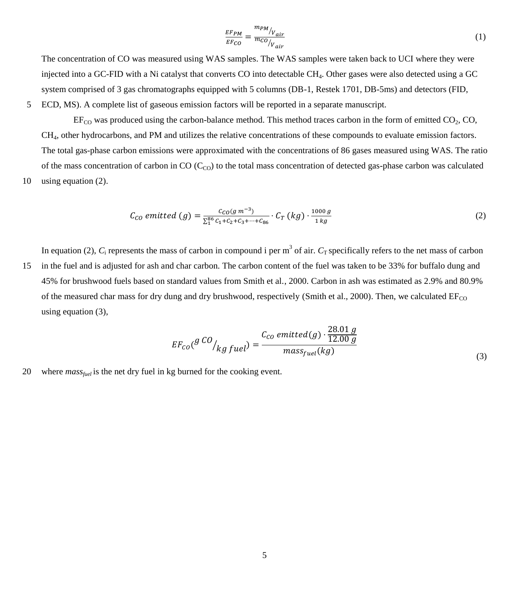$$
\frac{EF_{PM}}{EF_{CO}} = \frac{m_{PM}}{m_{CO}/V_{air}} \tag{1}
$$

The concentration of CO was measured using WAS samples. The WAS samples were taken back to UCI where they were injected into a GC-FID with a Ni catalyst that converts CO into detectable CH4. Other gases were also detected using a GC system comprised of 3 gas chromatographs equipped with 5 columns (DB-1, Restek 1701, DB-5ms) and detectors (FID,

5 ECD, MS). A complete list of gaseous emission factors will be reported in a separate manuscript.

 $EF_{CO}$  was produced using the carbon-balance method. This method traces carbon in the form of emitted  $CO<sub>2</sub>$ , CO, CH4, other hydrocarbons, and PM and utilizes the relative concentrations of these compounds to evaluate emission factors. The total gas-phase carbon emissions were approximated with the concentrations of 86 gases measured using WAS. The ratio of the mass concentration of carbon in CO  $(C<sub>CO</sub>)$  to the total mass concentration of detected gas-phase carbon was calculated 10 using equation (2).

$$
C_{CO} \emph{emitted } (g) = \frac{c_{CO}(g \, m^{-3})}{\sum_{1}^{86} c_1 + c_2 + c_3 + \dots + c_{86}} \cdot C_T \left( kg \right) \cdot \frac{1000 \, g}{1 \, kg} \tag{2}
$$

In equation (2),  $C_i$  represents the mass of carbon in compound i per  $m^3$  of air.  $C_T$  specifically refers to the net mass of carbon 15 in the fuel and is adjusted for ash and char carbon. The carbon content of the fuel was taken to be 33% for buffalo dung and 45% for brushwood fuels based on standard values from Smith et al., 2000. Carbon in ash was estimated as 2.9% and 80.9% of the measured char mass for dry dung and dry brushwood, respectively (Smith et al., 2000). Then, we calculated  $EF_{CO}$ using equation (3),

$$
EF_{CO}(g\ ^{CO}/_{kg\; fuel}) = \frac{C_{CO}\; emitted(g)\cdot \frac{28.01\;g}{12.00\;g}}{mass_{fuel}(kg)}
$$
\n
$$
(3)
$$

20 where *mass<sub>fuel</sub>* is the net dry fuel in kg burned for the cooking event.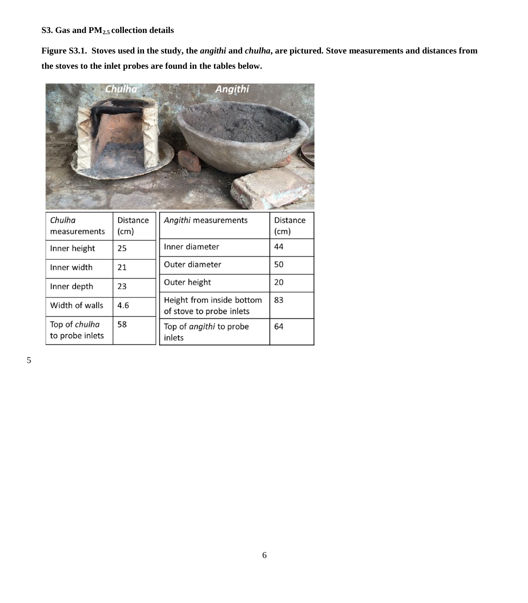## **S3. Gas and PM2.5 collection details**

**Figure S3.1. Stoves used in the study, the** *angithi* **and** *chulha***, are pictured. Stove measurements and distances from the stoves to the inlet probes are found in the tables below.**



5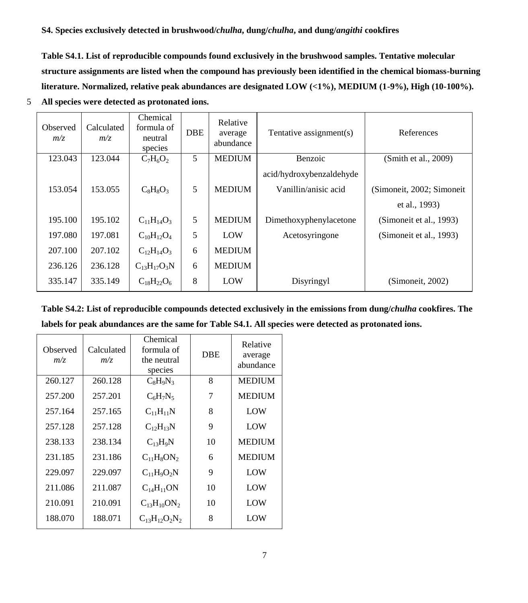**Table S4.1. List of reproducible compounds found exclusively in the brushwood samples. Tentative molecular structure assignments are listed when the compound has previously been identified in the chemical biomass-burning literature. Normalized, relative peak abundances are designated LOW (<1%), MEDIUM (1-9%), High (10-100%).** 

| Observed<br>m/z | Calculated<br>m/z | Chemical<br>formula of<br>neutral<br>species | <b>DBE</b> | Relative<br>average<br>abundance | Tentative assignment(s)  | References                 |
|-----------------|-------------------|----------------------------------------------|------------|----------------------------------|--------------------------|----------------------------|
| 123.043         | 123.044           | $C_7H_6O_2$                                  | 5          | <b>MEDIUM</b>                    | Benzoic                  | (Smith et al., 2009)       |
|                 |                   |                                              |            |                                  | acid/hydroxybenzaldehyde |                            |
| 153.054         | 153.055           | $C_8H_8O_3$                                  | 5          | <b>MEDIUM</b>                    | Vanillin/anisic acid     | (Simoneit, 2002; Simoneit) |
|                 |                   |                                              |            |                                  |                          | et al., 1993)              |
| 195.100         | 195.102           | $C_{11}H_{14}O_3$                            | 5          | <b>MEDIUM</b>                    | Dimethoxyphenylacetone   | (Simoneit et al., 1993)    |
| 197.080         | 197.081           | $C_{10}H_{12}O_4$                            | 5          | LOW                              | Acetosyringone           | (Simoneit et al., 1993)    |
| 207.100         | 207.102           | $C_{12}H_{14}O_3$                            | 6          | <b>MEDIUM</b>                    |                          |                            |
| 236.126         | 236.128           | $C_{13}H_{17}O_3N$                           | 6          | <b>MEDIUM</b>                    |                          |                            |
| 335.147         | 335.149           | $C_{18}H_{22}O_6$                            | 8          | LOW                              | Disyringyl               | (Simonet, 2002)            |

5 **All species were detected as protonated ions.**

**Table S4.2: List of reproducible compounds detected exclusively in the emissions from dung/***chulha* **cookfires. The labels for peak abundances are the same for Table S4.1. All species were detected as protonated ions.**

| Calculated<br>m/z | formula of<br>the neutral<br>species | <b>DBE</b> | Relative<br>average<br>abundance |
|-------------------|--------------------------------------|------------|----------------------------------|
| 260.128           | $C_8H_9N_3$                          | 8          | <b>MEDIUM</b>                    |
| 257.201           | $C_6H_7N_5$                          | 7          | <b>MEDIUM</b>                    |
| 257.165           | $C_{11}H_{11}N$                      | 8          | LOW                              |
| 257.128           | $C_{12}H_{13}N$                      | 9          | LOW                              |
| 238.134           | $C_{13}H_9N$                         | 10         | <b>MEDIUM</b>                    |
| 231.186           | $C_{11}H_8ON_2$                      | 6          | <b>MEDIUM</b>                    |
| 229.097           | $C_{11}H_9O_2N$                      | 9          | LOW                              |
| 211.087           | $C_{14}H_{11}ON$                     | 10         | LOW                              |
| 210.091           | $C_{13}H_{10}ON_2$                   | 10         | LOW                              |
| 188.071           | $C_{13}H_{12}O_2N_2$                 | 8          | LOW                              |
|                   |                                      |            | Chemical                         |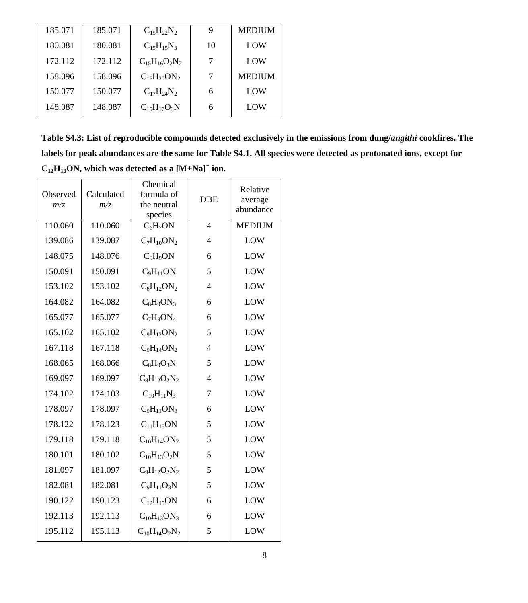| 185.071 | 185.071 | $C_{15}H_{22}N_{2}$                         |    | <b>MEDIUM</b> |
|---------|---------|---------------------------------------------|----|---------------|
| 180.081 | 180.081 | $C_1$ <sub>5</sub> $H_1$ <sub>5</sub> $N_3$ | 10 | LOW           |
| 172.112 | 172.112 | $C_{15}H_{16}O_2N_2$                        |    | LOW           |
| 158.096 | 158.096 | $C_{16}H_{20}ON_2$                          |    | <b>MEDIUM</b> |
| 150.077 | 150.077 | $C_{17}H_{24}N_2$                           |    | LOW           |
| 148.087 | 148.087 | $C_{15}H_{17}O_3N$                          | 6  | LOW           |

**Table S4.3: List of reproducible compounds detected exclusively in the emissions from dung/***angithi* **cookfires. The labels for peak abundances are the same for Table S4.1. All species were detected as protonated ions, except for**   $C_{12}H_{13}ON$ , which was detected as a  $[M+Na]^+$  ion.

| Observed<br>m/z | Calculated<br>m/z | Chemical<br>formula of<br>the neutral<br>species | <b>DBE</b>               | Relative<br>average<br>abundance |
|-----------------|-------------------|--------------------------------------------------|--------------------------|----------------------------------|
| 110.060         | 110.060           | $C_6H_7ON$                                       | $\overline{\mathcal{L}}$ | <b>MEDIUM</b>                    |
| 139.086         | 139.087           | $C_7H_{10}ON_2$                                  | $\overline{4}$           | LOW                              |
| 148.075         | 148.076           | $C_9H_9ON$                                       | 6                        | LOW                              |
| 150.091         | 150.091           | $C_9H_{11}ON$                                    | 5                        | LOW                              |
| 153.102         | 153.102           | $C_8H_{12}ON_2$                                  | $\overline{4}$           | LOW                              |
| 164.082         | 164.082           | $C_8H_9ON_3$                                     | 6                        | LOW                              |
| 165.077         | 165.077           | $C_7H_8ON_4$                                     | 6                        | LOW                              |
| 165.102         | 165.102           | $C_9H_{12}ON_2$                                  | 5                        | LOW                              |
| 167.118         | 167.118           | $C_9H_{14}ON_2$                                  | $\overline{4}$           | LOW                              |
| 168.065         | 168.066           | $C_8H_9O_3N$                                     | 5                        | LOW                              |
| 169.097         | 169.097           | $C_8H_{12}O_2N_2$                                | $\overline{4}$           | LOW                              |
| 174.102         | 174.103           | $C_{10}H_{11}N_3$                                | 7                        | LOW                              |
| 178.097         | 178.097           | $C_9H_{11}ON_3$                                  | 6                        | LOW                              |
| 178.122         | 178.123           | $C_{11}H_{15}ON$                                 | 5                        | LOW                              |
| 179.118         | 179.118           | $C_{10}H_{14}ON_2$                               | 5                        | LOW                              |
| 180.101         | 180.102           | $C_{10}H_{13}O_2N$                               | 5                        | LOW                              |
| 181.097         | 181.097           | $C_9H_{12}O_2N_2$                                | 5                        | LOW                              |
| 182.081         | 182.081           | $C_9H_{11}O_3N$                                  | 5                        | LOW                              |
| 190.122         | 190.123           | $C_{12}H_{15}ON$                                 | 6                        | LOW                              |
| 192.113         | 192.113           | $C_{10}H_{13}ON_3$                               | 6                        | LOW                              |
| 195.112         | 195.113           | $C_{10}H_{14}O_2N_2$                             | 5                        | LOW                              |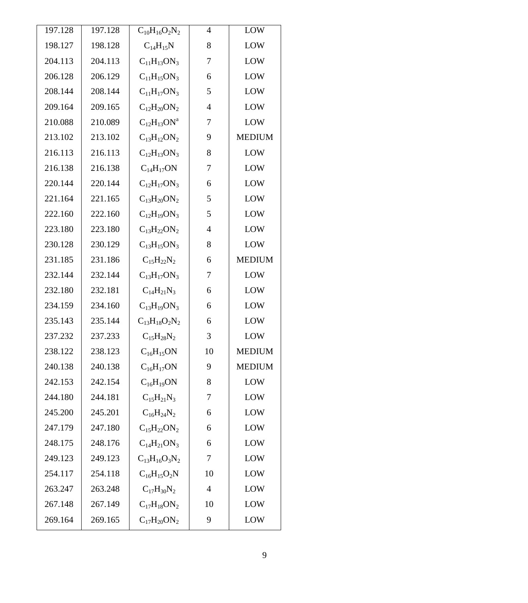| 197.128 | 197.128 | $C_{10}H_{16}O_2N_2$ | 4  | LOW           |
|---------|---------|----------------------|----|---------------|
| 198.127 | 198.128 | $C_{14}H_{15}N$      | 8  | LOW           |
| 204.113 | 204.113 | $C_{11}H_{13}ON_3$   | 7  | LOW           |
| 206.128 | 206.129 | $C_{11}H_{15}ON_3$   | 6  | LOW           |
| 208.144 | 208.144 | $C_{11}H_{17}ON_3$   | 5  | LOW           |
| 209.164 | 209.165 | $C_{12}H_{20}ON_2$   | 4  | LOW           |
| 210.088 | 210.089 | $C_{12}H_{13}ON^a$   | 7  | LOW           |
| 213.102 | 213.102 | $C_{13}H_{12}ON_2$   | 9  | <b>MEDIUM</b> |
| 216.113 | 216.113 | $C_{12}H_{13}ON_3$   | 8  | LOW           |
| 216.138 | 216.138 | $C_{14}H_{17}ON$     | 7  | LOW           |
| 220.144 | 220.144 | $C_{12}H_{17}ON_3$   | 6  | LOW           |
| 221.164 | 221.165 | $C_{13}H_{20}ON_2$   | 5  | LOW           |
| 222.160 | 222.160 | $C_{12}H_{19}ON_3$   | 5  | LOW           |
| 223.180 | 223.180 | $C_{13}H_{22}ON_2$   | 4  | LOW           |
| 230.128 | 230.129 | $C_{13}H_{15}ON_3$   | 8  | LOW           |
| 231.185 | 231.186 | $C_{15}H_{22}N_2$    | 6  | <b>MEDIUM</b> |
| 232.144 | 232.144 | $C_{13}H_{17}ON_3$   | 7  | LOW           |
| 232.180 | 232.181 | $C_{14}H_{21}N_3$    | 6  | LOW           |
| 234.159 | 234.160 | $C_{13}H_{19}ON_3$   | 6  | LOW           |
| 235.143 | 235.144 | $C_{13}H_{18}O_2N_2$ | 6  | LOW           |
| 237.232 | 237.233 | $C_{15}H_{28}N_2$    | 3  | LOW           |
| 238.122 | 238.123 | $C_{16}H_{15}ON$     | 10 | <b>MEDIUM</b> |
| 240.138 | 240.138 | $C_{16}H_{17}ON$     | 9  | <b>MEDIUM</b> |
| 242.153 | 242.154 | $C_{16}H_{19}ON$     | 8  | LOW           |
| 244.180 | 244.181 | $C_{15}H_{21}N_3$    | 7  | LOW           |
| 245.200 | 245.201 | $C_{16}H_{24}N_2$    | 6  | LOW           |
| 247.179 | 247.180 | $C_{15}H_{22}ON_2$   | 6  | LOW           |
| 248.175 | 248.176 | $C_{14}H_{21}ON_3$   | 6  | LOW           |
| 249.123 | 249.123 | $C_{13}H_{16}O_3N_2$ | 7  | LOW           |
| 254.117 | 254.118 | $C_{16}H_{15}O_2N$   | 10 | LOW           |
| 263.247 | 263.248 | $C_{17}H_{30}N_2$    | 4  | LOW           |
| 267.148 | 267.149 | $C_{17}H_{18}ON_2$   | 10 | LOW           |
| 269.164 | 269.165 | $C_{17}H_{20}ON_2$   | 9  | LOW           |